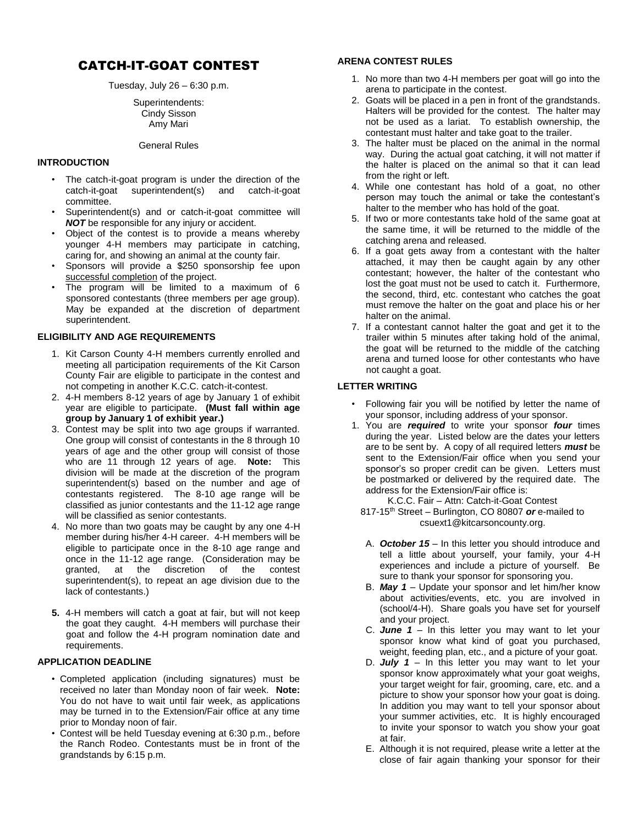# CATCH-IT-GOAT CONTEST

Tuesday, July  $26 - 6:30$  p.m.

### Superintendents: Cindy Sisson Amy Mari

### General Rules

# **INTRODUCTION**

- The catch-it-goat program is under the direction of the catch-it-goat superintendent(s) and catch-it-goat committee.
- Superintendent(s) and or catch-it-goat committee will *NOT* be responsible for any injury or accident.
- Object of the contest is to provide a means whereby younger 4-H members may participate in catching, caring for, and showing an animal at the county fair.
- Sponsors will provide a \$250 sponsorship fee upon successful completion of the project.
- The program will be limited to a maximum of 6 sponsored contestants (three members per age group). May be expanded at the discretion of department superintendent.

# **ELIGIBILITY AND AGE REQUIREMENTS**

- 1. Kit Carson County 4-H members currently enrolled and meeting all participation requirements of the Kit Carson County Fair are eligible to participate in the contest and not competing in another K.C.C. catch-it-contest.
- 2. 4-H members 8-12 years of age by January 1 of exhibit year are eligible to participate. **(Must fall within age group by January 1 of exhibit year.)**
- 3. Contest may be split into two age groups if warranted. One group will consist of contestants in the 8 through 10 years of age and the other group will consist of those who are 11 through 12 years of age. **Note:** This division will be made at the discretion of the program superintendent(s) based on the number and age of contestants registered. The 8-10 age range will be classified as junior contestants and the 11-12 age range will be classified as senior contestants.
- 4. No more than two goats may be caught by any one 4-H member during his/her 4-H career. 4-H members will be eligible to participate once in the 8-10 age range and once in the 11-12 age range. (Consideration may be granted, at the discretion of the contest superintendent(s), to repeat an age division due to the lack of contestants.)
- **5.** 4-H members will catch a goat at fair, but will not keep the goat they caught. 4-H members will purchase their goat and follow the 4-H program nomination date and requirements.

# **APPLICATION DEADLINE**

- Completed application (including signatures) must be received no later than Monday noon of fair week. **Note:** You do not have to wait until fair week, as applications may be turned in to the Extension/Fair office at any time prior to Monday noon of fair.
- Contest will be held Tuesday evening at 6:30 p.m., before the Ranch Rodeo. Contestants must be in front of the grandstands by 6:15 p.m.

# **ARENA CONTEST RULES**

- 1. No more than two 4-H members per goat will go into the arena to participate in the contest.
- 2. Goats will be placed in a pen in front of the grandstands. Halters will be provided for the contest. The halter may not be used as a lariat. To establish ownership, the contestant must halter and take goat to the trailer.
- 3. The halter must be placed on the animal in the normal way. During the actual goat catching, it will not matter if the halter is placed on the animal so that it can lead from the right or left.
- 4. While one contestant has hold of a goat, no other person may touch the animal or take the contestant's halter to the member who has hold of the goat.
- 5. If two or more contestants take hold of the same goat at the same time, it will be returned to the middle of the catching arena and released.
- 6. If a goat gets away from a contestant with the halter attached, it may then be caught again by any other contestant; however, the halter of the contestant who lost the goat must not be used to catch it. Furthermore, the second, third, etc. contestant who catches the goat must remove the halter on the goat and place his or her halter on the animal.
- 7. If a contestant cannot halter the goat and get it to the trailer within 5 minutes after taking hold of the animal, the goat will be returned to the middle of the catching arena and turned loose for other contestants who have not caught a goat.

# **LETTER WRITING**

- Following fair you will be notified by letter the name of your sponsor, including address of your sponsor.
- 1. You are *required* to write your sponsor *four* times during the year. Listed below are the dates your letters are to be sent by. A copy of all required letters *must* be sent to the Extension/Fair office when you send your sponsor's so proper credit can be given. Letters must be postmarked or delivered by the required date. The address for the Extension/Fair office is: K.C.C. Fair – Attn: Catch-it-Goat Contest
	- 817-15th Street Burlington, CO 80807 *or* e-mailed to csuext1@kitcarsoncounty.org.
	- A. *October 15 –* In this letter you should introduce and tell a little about yourself, your family, your 4-H experiences and include a picture of yourself. Be sure to thank your sponsor for sponsoring you.
	- B. *May 1* Update your sponsor and let him/her know about activities/events, etc. you are involved in (school/4-H). Share goals you have set for yourself and your project.
	- C. *June 1* In this letter you may want to let your sponsor know what kind of goat you purchased, weight, feeding plan, etc., and a picture of your goat.
	- D. *July 1* In this letter you may want to let your sponsor know approximately what your goat weighs, your target weight for fair, grooming, care, etc. and a picture to show your sponsor how your goat is doing. In addition you may want to tell your sponsor about your summer activities, etc. It is highly encouraged to invite your sponsor to watch you show your goat at fair.
	- E. Although it is not required, please write a letter at the close of fair again thanking your sponsor for their